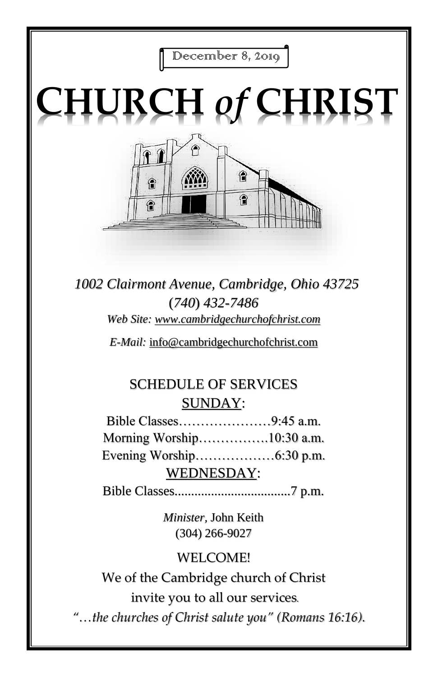December 8, 2019

# **CHURCH** *of* **CHRIST**



*1002 Clairmont Avenue, Cambridge, Ohio 43725* (*740*) *432-7486 Web Site: www.cambridgechurchofchrist.com*

*E-Mail:* info@cambridgechurchofchrist.com

## SCHEDULE OF SERVICES SUNDAY:

Bible Classes…………………9:45 a.m. Morning Worship…………….10:30 a.m. Evening Worship………………6:30 p.m. WEDNESDAY:

Bible Classes...................................7 p.m.

*Minister,* John Keith (304) 266-9027

### WELCOME!

We of the Cambridge church of Christ invite you to all our services*.*

*"…the churches of Christ salute you" (Romans 16:16).*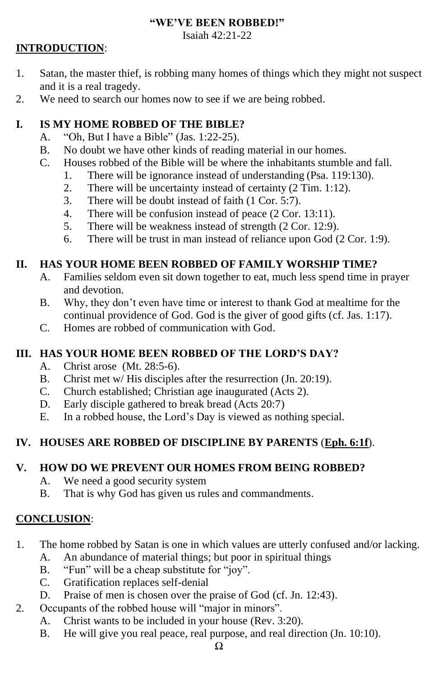#### **"WE'VE BEEN ROBBED!"**

Isaiah 42:21-22

#### **INTRODUCTION**:

- 1. Satan, the master thief, is robbing many homes of things which they might not suspect and it is a real tragedy.
- 2. We need to search our homes now to see if we are being robbed.

#### **I. IS MY HOME ROBBED OF THE BIBLE?**

- A. "Oh, But I have a Bible" (Jas. 1:22-25).
- B. No doubt we have other kinds of reading material in our homes.
- C. Houses robbed of the Bible will be where the inhabitants stumble and fall.
	- 1. There will be ignorance instead of understanding (Psa. 119:130).
	- 2. There will be uncertainty instead of certainty (2 Tim. 1:12).
	- 3. There will be doubt instead of faith (1 Cor. 5:7).
	- 4. There will be confusion instead of peace (2 Cor. 13:11).
	- 5. There will be weakness instead of strength (2 Cor. 12:9).
	- 6. There will be trust in man instead of reliance upon God (2 Cor. 1:9).

#### **II. HAS YOUR HOME BEEN ROBBED OF FAMILY WORSHIP TIME?**

- A. Families seldom even sit down together to eat, much less spend time in prayer and devotion.
- B. Why, they don't even have time or interest to thank God at mealtime for the continual providence of God. God is the giver of good gifts (cf. Jas. 1:17).
- C. Homes are robbed of communication with God.

#### **III. HAS YOUR HOME BEEN ROBBED OF THE LORD'S DAY?**

- A. Christ arose (Mt. 28:5-6).
- B. Christ met w/ His disciples after the resurrection (Jn. 20:19).
- C. Church established; Christian age inaugurated (Acts 2).
- D. Early disciple gathered to break bread (Acts 20:7)
- E. In a robbed house, the Lord's Day is viewed as nothing special.

#### **IV. HOUSES ARE ROBBED OF DISCIPLINE BY PARENTS** (**Eph. 6:1f**).

#### **V. HOW DO WE PREVENT OUR HOMES FROM BEING ROBBED?**

- A. We need a good security system
- B. That is why God has given us rules and commandments.

#### **CONCLUSION**:

- 1. The home robbed by Satan is one in which values are utterly confused and/or lacking.
	- A. An abundance of material things; but poor in spiritual things
	- B. "Fun" will be a cheap substitute for "joy".
	- C. Gratification replaces self-denial
	- D. Praise of men is chosen over the praise of God (cf. Jn. 12:43).
- 2. Occupants of the robbed house will "major in minors".
	- A. Christ wants to be included in your house (Rev. 3:20).
	- B. He will give you real peace, real purpose, and real direction (Jn. 10:10).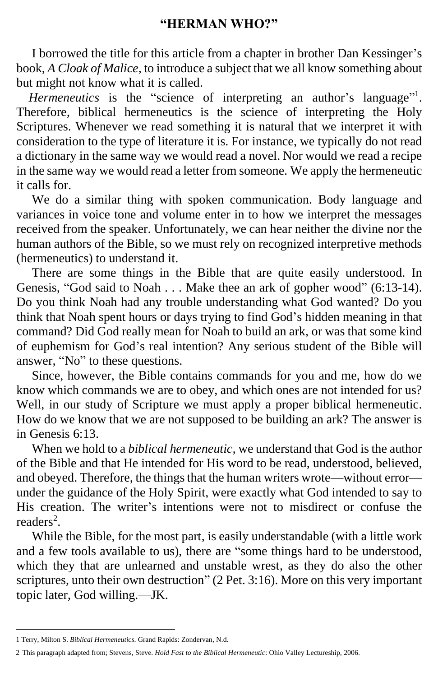I borrowed the title for this article from a chapter in brother Dan Kessinger's book, *A Cloak of Malice*, to introduce a subject that we all know something about but might not know what it is called.

*Hermeneutics* is the "science of interpreting an author's language"<sup>1</sup>. Therefore, biblical hermeneutics is the science of interpreting the Holy Scriptures. Whenever we read something it is natural that we interpret it with consideration to the type of literature it is. For instance, we typically do not read a dictionary in the same way we would read a novel. Nor would we read a recipe in the same way we would read a letter from someone. We apply the hermeneutic it calls for.

We do a similar thing with spoken communication. Body language and variances in voice tone and volume enter in to how we interpret the messages received from the speaker. Unfortunately, we can hear neither the divine nor the human authors of the Bible, so we must rely on recognized interpretive methods (hermeneutics) to understand it.

 There are some things in the Bible that are quite easily understood. In Genesis, "God said to Noah . . . Make thee an ark of gopher wood" (6:13-14). Do you think Noah had any trouble understanding what God wanted? Do you think that Noah spent hours or days trying to find God's hidden meaning in that command? Did God really mean for Noah to build an ark, or was that some kind of euphemism for God's real intention? Any serious student of the Bible will answer, "No" to these questions.

 Since, however, the Bible contains commands for you and me, how do we know which commands we are to obey, and which ones are not intended for us? Well, in our study of Scripture we must apply a proper biblical hermeneutic. How do we know that we are not supposed to be building an ark? The answer is in Genesis 6:13.

 When we hold to a *biblical hermeneutic,* we understand that God is the author of the Bible and that He intended for His word to be read, understood, believed, and obeyed. Therefore, the things that the human writers wrote—without error under the guidance of the Holy Spirit, were exactly what God intended to say to His creation. The writer's intentions were not to misdirect or confuse the readers<sup>2</sup>.

 While the Bible, for the most part, is easily understandable (with a little work and a few tools available to us), there are "some things hard to be understood, which they that are unlearned and unstable wrest, as they do also the other scriptures, unto their own destruction" (2 Pet. 3:16). More on this very important topic later, God willing.—JK.

<sup>1</sup> Terry, Milton S. *Biblical Hermeneutics*. Grand Rapids: Zondervan, N.d.

<sup>2</sup> This paragraph adapted from; Stevens, Steve. *Hold Fast to the Biblical Hermeneutic*: Ohio Valley Lectureship, 2006.